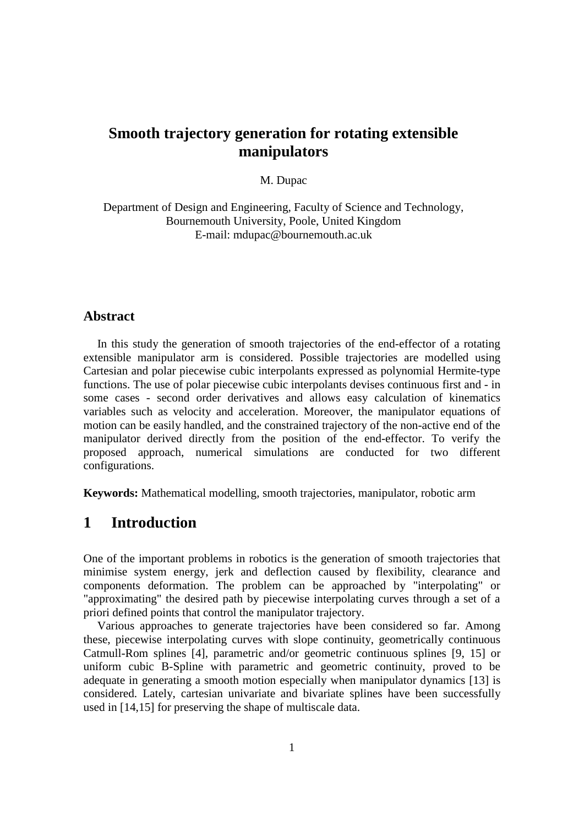# **Smooth trajectory generation for rotating extensible manipulators**

### M. Dupac

Department of Design and Engineering, Faculty of Science and Technology, Bournemouth University, Poole, United Kingdom E-mail: mdupac@bournemouth.ac.uk

### **Abstract**

In this study the generation of smooth trajectories of the end-effector of a rotating extensible manipulator arm is considered. Possible trajectories are modelled using Cartesian and polar piecewise cubic interpolants expressed as polynomial Hermite-type functions. The use of polar piecewise cubic interpolants devises continuous first and - in some cases - second order derivatives and allows easy calculation of kinematics variables such as velocity and acceleration. Moreover, the manipulator equations of motion can be easily handled, and the constrained trajectory of the non-active end of the manipulator derived directly from the position of the end-effector. To verify the proposed approach, numerical simulations are conducted for two different configurations.

**Keywords:** Mathematical modelling, smooth trajectories, manipulator, robotic arm

# **1 Introduction**

One of the important problems in robotics is the generation of smooth trajectories that minimise system energy, jerk and deflection caused by flexibility, clearance and components deformation. The problem can be approached by "interpolating" or "approximating" the desired path by piecewise interpolating curves through a set of a priori defined points that control the manipulator trajectory.

Various approaches to generate trajectories have been considered so far. Among these, piecewise interpolating curves with slope continuity, geometrically continuous Catmull-Rom splines [4], parametric and/or geometric continuous splines [9, 15] or uniform cubic B-Spline with parametric and geometric continuity, proved to be adequate in generating a smooth motion especially when manipulator dynamics [13] is considered. Lately, cartesian univariate and bivariate splines have been successfully used in [14,15] for preserving the shape of multiscale data.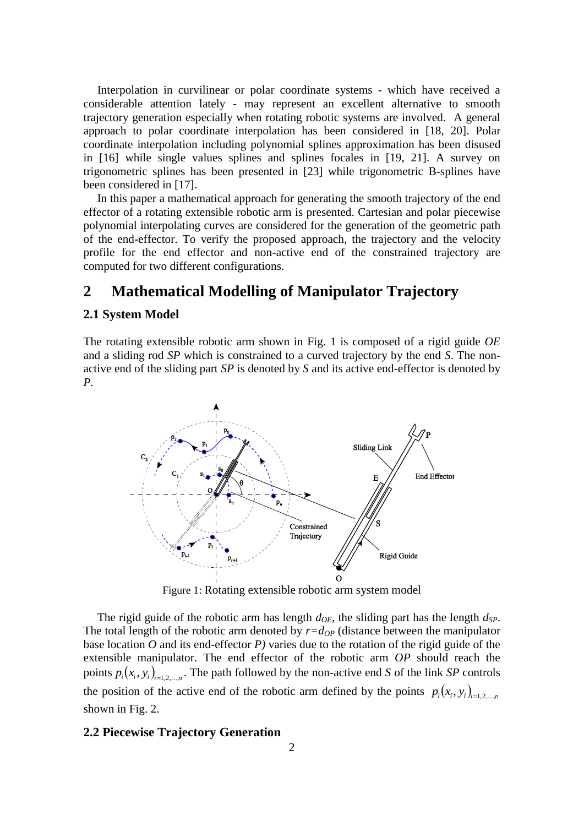Interpolation in curvilinear or polar coordinate systems - which have received a considerable attention lately - may represent an excellent alternative to smooth trajectory generation especially when rotating robotic systems are involved. A general approach to polar coordinate interpolation has been considered in [18, 20]. Polar coordinate interpolation including polynomial splines approximation has been disused in [16] while single values splines and splines focales in [19, 21]. A survey on trigonometric splines has been presented in [23] while trigonometric B-splines have been considered in [17].

In this paper a mathematical approach for generating the smooth trajectory of the end effector of a rotating extensible robotic arm is presented. Cartesian and polar piecewise polynomial interpolating curves are considered for the generation of the geometric path of the end-effector. To verify the proposed approach, the trajectory and the velocity profile for the end effector and non-active end of the constrained trajectory are computed for two different configurations.

# **2 Mathematical Modelling of Manipulator Trajectory**

### **2.1 System Model**

The rotating extensible robotic arm shown in Fig. 1 is composed of a rigid guide *OE* and a sliding rod *SP* which is constrained to a curved trajectory by the end *S*. The nonactive end of the sliding part *SP* is denoted by *S* and its active end-effector is denoted by *P.*



Figure 1: Rotating extensible robotic arm system model

The rigid guide of the robotic arm has length  $d_{OE}$ , the sliding part has the length  $d_{SP}$ . The total length of the robotic arm denoted by  $r=d_{OP}$  (distance between the manipulator base location  $O$  and its end-effector  $P$ ) varies due to the rotation of the rigid guide of the extensible manipulator. The end effector of the robotic arm *OP* should reach the points  $p_i(x_i, y_i)_{i=1,2,...,n}$ . The path followed by the non-active end *S* of the link *SP* controls the position of the active end of the robotic arm defined by the points  $p_i(x_i, y_i)_{i=1,2,...,n}$ shown in Fig. 2.

### **2.2 Piecewise Trajectory Generation**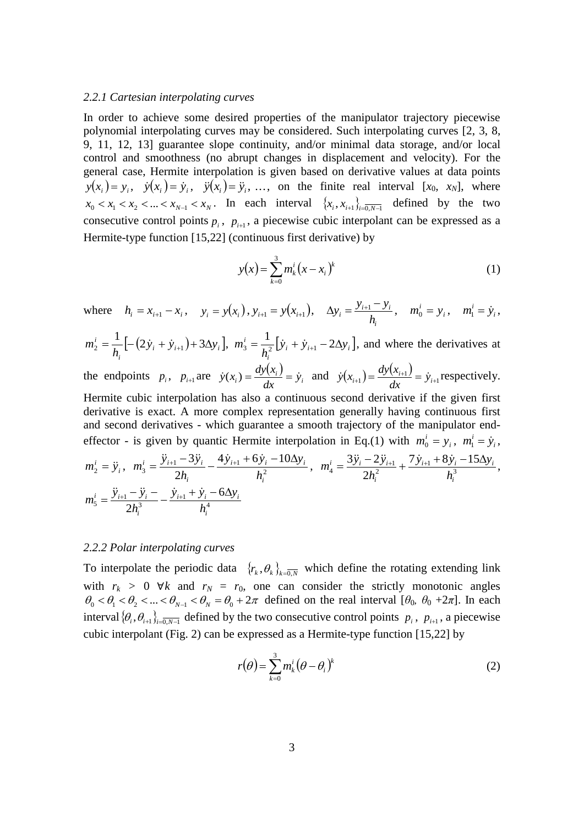#### *2.2.1 Cartesian interpolating curves*

In order to achieve some desired properties of the manipulator trajectory piecewise polynomial interpolating curves may be considered. Such interpolating curves [2, 3, 8, 9, 11, 12, 13] guarantee slope continuity, and/or minimal data storage, and/or local control and smoothness (no abrupt changes in displacement and velocity). For the general case, Hermite interpolation is given based on derivative values at data points  $y(x_i) = y_i$ ,  $\dot{y}(x_i) = \dot{y}_i$ ,  $\ddot{y}(x_i) = \ddot{y}_i$ , ..., on the finite real interval [*x*<sub>0</sub>*, x<sub>N</sub>*], where  $x_0 < x_1 < x_2 < ... < x_{N-1} < x_N$ . In each interval  $\{x_i, x_{i+1}\}_{i=0, N-1}$  defined by the two consecutive control points  $p_i$ ,  $p_{i+1}$ , a piecewise cubic interpolant can be expressed as a Hermite-type function [15,22] (continuous first derivative) by

$$
y(x) = \sum_{k=0}^{3} m_k^{i} (x - x_i)^{k}
$$
 (1)

where  $h_i = x_{i+1} - x_i$ ,  $y_i = y(x_i)$ ,  $y_{i+1} = y(x_{i+1})$ , *i*  $a_i = \frac{y_{i+1} - y_i}{h_i}$  $\Delta y_i = \frac{y_{i+1} - y_i}{l}, \quad m_0^i = y_i$  $m_0^i = y_i$ ,  $m_1^i = \dot{y}_i$  $m_1^i = \dot{y}_i$ ,

$$
m_2^i = \frac{1}{h_i} \left[ -\left( 2\dot{y}_i + \dot{y}_{i+1} \right) + 3\Delta y_i \right], \ m_3^i = \frac{1}{h_i^2} \left[ \dot{y}_i + \dot{y}_{i+1} - 2\Delta y_i \right],
$$
 and where the derivatives at

the endpoints  $p_i$ ,  $p_{i+1}$  are  $\dot{y}(x_i) = \frac{dy(x_i)}{dx_i}$  $\dot{y}_i$ ) =  $\frac{dy(x_i)}{dx} = \dot{y}_i$ *dx*  $\dot{y}(x_i) = \frac{dy(x_i)}{dy} = \dot{y}_i$  and  $\dot{y}(x_{i+1}) = \frac{dy(x_{i+1})}{dy(x_{i+1})}$  $\dot{y}_{i+1}$ ) =  $\frac{dy(x_{i+1})}{dx} = \dot{y}_{i+1}$ *dx*  $\dot{y}(x_{i+1}) = \frac{dy(x_{i+1})}{dx} = \dot{y}_{i+1}$  respectively. Hermite cubic interpolation has also a continuous second derivative if the given first derivative is exact. A more complex representation generally having continuous first

and second derivatives - which guarantee a smooth trajectory of the manipulator endeffector - is given by quantic Hermite interpolation in Eq.(1) with  $m_0^i = y_i$  $m_0^i = y_i$ ,  $m_1^i = \dot{y}_i$  $m_1^i = \dot{y}_i$ ,

$$
m_2^i = \ddot{y}_i, \quad m_3^i = \frac{\ddot{y}_{i+1} - 3\ddot{y}_i}{2h_i} - \frac{4\dot{y}_{i+1} + 6\dot{y}_i - 10\Delta y_i}{h_i^2}, \quad m_4^i = \frac{3\ddot{y}_i - 2\ddot{y}_{i+1}}{2h_i^2} + \frac{7\dot{y}_{i+1} + 8\dot{y}_i - 15\Delta y_i}{h_i^3},
$$

$$
m_5^i = \frac{\ddot{y}_{i+1} - \ddot{y}_i - \dot{y}_{i+1} + \dot{y}_i - 6\Delta y_i}{2h_i^3} + \frac{\dot{y}_{i+1} + \dot{y}_i - 6\Delta y_i}{h_i^4}
$$

#### *2.2.2 Polar interpolating curves*

To interpolate the periodic data  $\{r_k, \theta_k\}_{k=0,N}$  which define the rotating extending link with  $r_k > 0$   $\forall k$  and  $r_N = r_0$ , one can consider the strictly monotonic angles  $\theta_0 < \theta_1 < \theta_2 < ... < \theta_{N-1} < \theta_N = \theta_0 + 2\pi$  defined on the real interval [ $\theta_0$ ,  $\theta_0 + 2\pi$ ]. In each interval  $\{\theta_i, \theta_{i+1}\}_{i=0, N-1}$  defined by the two consecutive control points  $p_i$ ,  $p_{i+1}$ , a piecewise cubic interpolant (Fig. 2) can be expressed as a Hermite-type function [15,22] by

$$
r(\theta) = \sum_{k=0}^{3} m_k^{i} (\theta - \theta_i)^{k}
$$
 (2)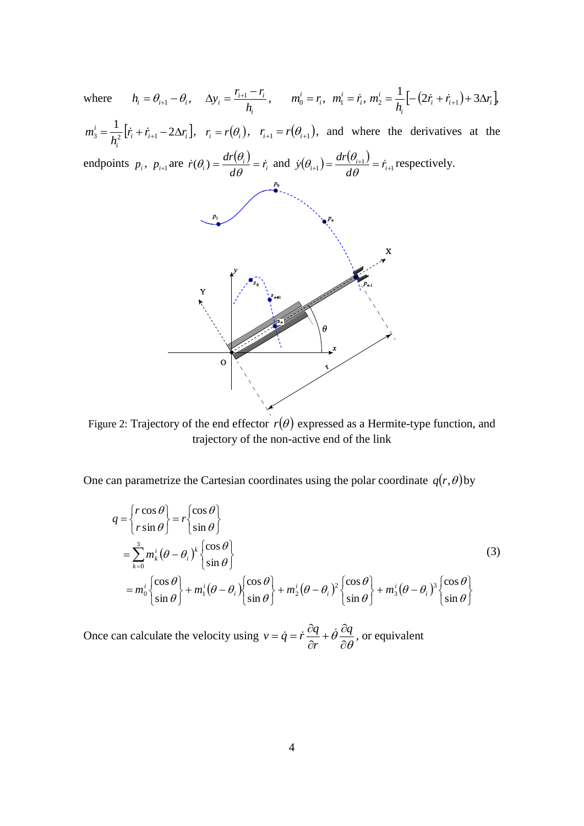$h_i = \theta_{i+1} - \theta_i$ ,  $\Delta y_i = \frac{r_{i+1} - r_i}{l}$ ,  $m_0^i = r_i$ ,  $m_1^i = \dot{r}_i, m_2^i = \frac{1}{l} \left[ -(2\dot{r}_i + \dot{r}_{i+1}) + 3\Delta r_i \right]$  $m_0^i = r_i, m_1^i = \dot{r_i},$  $\dot{r}_2 = \frac{1}{I} \left[ -(2\dot{r}_i + \dot{r}_{i+1}) + 3\Delta r \right]$  $\Delta y_i = \theta_{i+1} - \theta_i, \quad \Delta y_i = \frac{r_{i+1} - r_i}{h_i}$  $m_2^i = \frac{1}{l} \left[ -(2\dot{r}_i + \dot{r}_{i+1}) + 3\Delta r_i \right],$ where  $i_2 = \frac{1}{l} [\sqrt{2} I_i + I_{i+1}] + 3\Delta I_i$ *h i i*  $m_3^i = \frac{1}{h_i^2} \left[ \dot{r}_i + \dot{r}_{i+1} - 2\Delta \right]$  $\vec{r}_i = \frac{1}{h_i^2} [\vec{r}_i + \vec{r}_{i+1} - 2\Delta r_i], \quad r_i = r(\theta_i), \quad r_{i+1} = r(\theta_{i+1}),$  and where the derivatives at the  $\dot{r}_{i} = \frac{1}{r_{i}^{2}} [\dot{r}_{i} + \dot{r}_{i+1} - 2\Delta r_{i}]$  $\left[ \dot{r}_i + \dot{r}_{i+1} - 2\Delta r_i \right]$ *i* endpoints  $p_i$ ,  $p_{i+1}$  are  $\dot{r}(\theta_i) = \frac{dr(\theta_i)}{d\theta_i}$  $(\theta_i) = \frac{dr(\theta_i)}{dt} = \dot{r}_i$  and  $\dot{y}(\theta_{i+1}) = \frac{dr(\theta_{i+1})}{dt}$  $\dot{r}(\theta_i) = \frac{dr(\theta_i)}{d\theta} = \dot{r}_i$  $\dot{y}(\theta_{i+1}) = \frac{dr(\theta_{i+1})}{d\theta} = \dot{r}_i$  $r(\theta_{i+1}) = \frac{dr(\theta_{i+1})}{r} = \dot{r}_{i+1}$  respectively.  $\dot{r}_i$ ) =  $\frac{ar(v_i)}{10} = \dot{r}_i$  $(\vec{r}_{i+1}) = \frac{ar(\vec{v}_{i+1})}{r} = \vec{r}_{i+1}$ *d d* X



Figure 2: Trajectory of the end effector  $r(\theta)$  expressed as a Hermite-type function, and trajectory of the non-active end of the link

One can parametrize the Cartesian coordinates using the polar coordinate  $q(r, \theta)$  by

$$
q = \begin{cases} r\cos\theta \\ r\sin\theta \end{cases} = r \begin{cases} \cos\theta \\ \sin\theta \end{cases}
$$
  
=  $\sum_{k=0}^{3} m_k^i (\theta - \theta_i)^k \begin{cases} \cos\theta \\ \sin\theta \end{cases}$   
=  $m_0^i \begin{cases} \cos\theta \\ \sin\theta \end{cases} + m_1^i (\theta - \theta_i) \begin{cases} \cos\theta \\ \sin\theta \end{cases} + m_2^i (\theta - \theta_i)^2 \begin{cases} \cos\theta \\ \sin\theta \end{cases} + m_3^i (\theta - \theta_i)^3 \begin{cases} \cos\theta \\ \sin\theta \end{cases}$ 

Once can calculate the velocity using  $v = \dot{q} = \dot{r} \frac{dq}{\partial r} + \theta \frac{dq}{\partial \theta}$  $\theta \frac{8}{\tilde{c}}$  $+\dot{\theta} \frac{\partial}{\partial t}$  $\partial$  $=\dot{q}=\dot{r}\frac{\partial q}{\partial q}+\dot{\theta}\frac{\partial q}{\partial q}$ *r*  $v = \dot{q} = \dot{r} \frac{\partial q}{\partial q} + \dot{\theta} \frac{\partial q}{\partial q}$ , or equivalent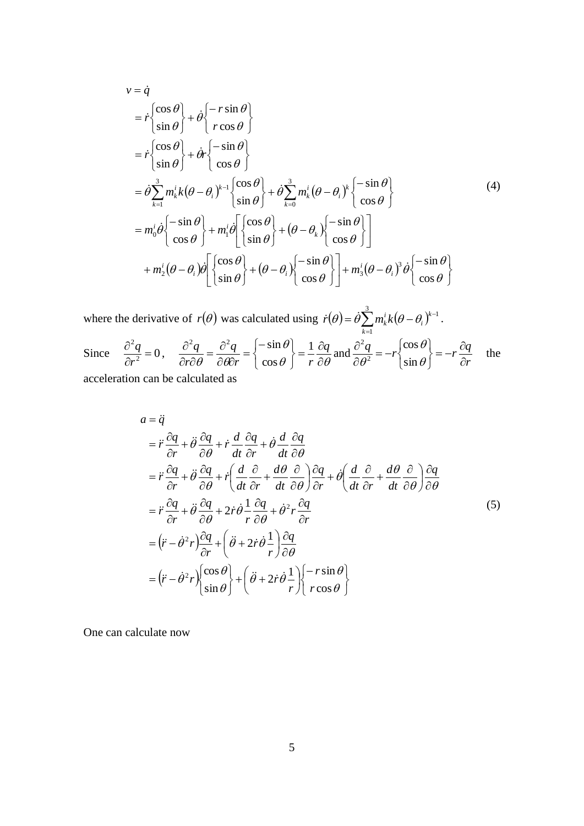$$
v = \dot{q}
$$
  
\n
$$
= \dot{r} \begin{cases} \cos \theta \\ \sin \theta \end{cases} + \dot{\theta} \begin{cases} -r \sin \theta \\ r \cos \theta \end{cases}
$$
  
\n
$$
= \dot{r} \begin{cases} \cos \theta \\ \sin \theta \end{cases} + \dot{\theta} \dot{r} \begin{cases} -\sin \theta \\ \cos \theta \end{cases}
$$
  
\n
$$
= \dot{\theta} \sum_{k=1}^{3} m_{k}^{i} k (\theta - \theta_{i})^{k-1} \begin{cases} \cos \theta \\ \sin \theta \end{cases} + \dot{\theta} \sum_{k=0}^{3} m_{k}^{i} (\theta - \theta_{i})^{k} \begin{cases} -\sin \theta \\ \cos \theta \end{cases}
$$
  
\n
$$
= m_{0}^{i} \dot{\theta} \begin{cases} -\sin \theta \\ \cos \theta \end{cases} + m_{1}^{i} \dot{\theta} \begin{bmatrix} \cos \theta \\ \sin \theta \end{bmatrix} + (\theta - \theta_{k}) \begin{cases} -\sin \theta \\ \cos \theta \end{cases} \end{cases}
$$
  
\n
$$
+ m_{2}^{i} (\theta - \theta_{i}) \dot{\theta} \begin{bmatrix} \cos \theta \\ \sin \theta \end{bmatrix} + (\theta - \theta_{i}) \begin{cases} -\sin \theta \\ \cos \theta \end{cases} \end{cases} + m_{3}^{i} (\theta - \theta_{i})^{3} \dot{\theta} \begin{cases} -\sin \theta \\ \cos \theta \end{cases}
$$

where the derivative of  $r(\theta)$  was calculated using  $\dot{r}(\theta) = \dot{\theta} \sum_{n=1}^{3} m_k^{i} k(\theta - \theta_i)^{k-1}$ 1 - $=\dot{\theta}\sum_{k=1}^{8}m_{k}^{i}k(\theta-\theta_{i})^{k}$ *i k i*  $\dot{r}(\theta) = \dot{\theta} \sum_{k=1}^{n} m_k^i k (\theta - \theta_i)^{k-1}.$ Since  $\frac{q}{2} = 0$ 2  $=$  $\partial$  $\partial$ *r*  $\frac{q}{r^2} = 0$ ,  $\frac{\partial^2 q}{\partial r \partial \theta} = \frac{\partial^2 q}{\partial \theta \partial r} = \begin{cases} -\sin \theta \\ \cos \theta \end{cases} = \frac{1}{r} \frac{\partial q}{\partial \theta}$  $\theta$  $\theta$   $\partial \theta$   $\partial r$   $\cos \theta$   $r \partial$  $=\frac{1}{2}\frac{\partial}{\partial x}$ J  $\left\{ \right\}$  $\overline{\phantom{a}}$  $\overline{\mathcal{L}}$  $\left\{ \right.$  $=\Big\{-\Big\}$  $\partial \theta$  $=\frac{\partial}{\partial x}$  $\partial r\partial$  $\partial^2 q$   $\partial^2 q$   $\left[-\sin \theta\right]$  1  $\partial q$ *r*  $\cos \theta$  *r q r*  $q \partial^2 q \left[ -\sin \theta \right] - 1$ cos  $\partial^2 q$   $\partial^2 q$   $\left(-\sin \theta\right)$ and *r*  $\frac{q}{r^2} = -r \left( \frac{\cos \theta}{r} \right) = -r \frac{\partial q}{\partial r}$  $\hat{o}$  $=-r\frac{\partial}{\partial x}$  $\int$  $\left\{ \right\}$  $\mathcal{L}$  $\overline{\mathcal{L}}$ ₹  $=-r\bigg\{$  $\hat{o}$  $\partial$  $\theta$  $\theta$  $\theta^2$  | sin cos 2 2 the

acceleration can be calculated as

$$
a = \ddot{q}
$$
\n
$$
= \ddot{r} \frac{\partial q}{\partial r} + \ddot{\theta} \frac{\partial q}{\partial \theta} + \dot{r} \frac{d}{dt} \frac{\partial q}{\partial r} + \dot{\theta} \frac{d}{dt} \frac{\partial q}{\partial \theta}
$$
\n
$$
= \ddot{r} \frac{\partial q}{\partial r} + \ddot{\theta} \frac{\partial q}{\partial \theta} + \dot{r} \left( \frac{d}{dt} \frac{\partial}{\partial r} + \frac{d\theta}{dt} \frac{\partial}{\partial \theta} \right) \frac{\partial q}{\partial r} + \dot{\theta} \left( \frac{d}{dt} \frac{\partial}{\partial r} + \frac{d\theta}{dt} \frac{\partial}{\partial \theta} \right) \frac{\partial q}{\partial \theta}
$$
\n
$$
= \ddot{r} \frac{\partial q}{\partial r} + \ddot{\theta} \frac{\partial q}{\partial \theta} + 2 \dot{r} \dot{\theta} \frac{1}{r} \frac{\partial q}{\partial \theta} + \dot{\theta}^2 r \frac{\partial q}{\partial r}
$$
\n
$$
= (\ddot{r} - \dot{\theta}^2 r) \frac{\partial q}{\partial r} + (\ddot{\theta} + 2 \dot{r} \dot{\theta} \frac{1}{r}) \frac{\partial q}{\partial \theta}
$$
\n
$$
= (\ddot{r} - \dot{\theta}^2 r) \begin{cases} \cos \theta \\ \sin \theta \end{cases} + (\ddot{\theta} + 2 \dot{r} \dot{\theta} \frac{1}{r}) \begin{cases} -r \sin \theta \\ r \cos \theta \end{cases}
$$
\n(5)

One can calculate now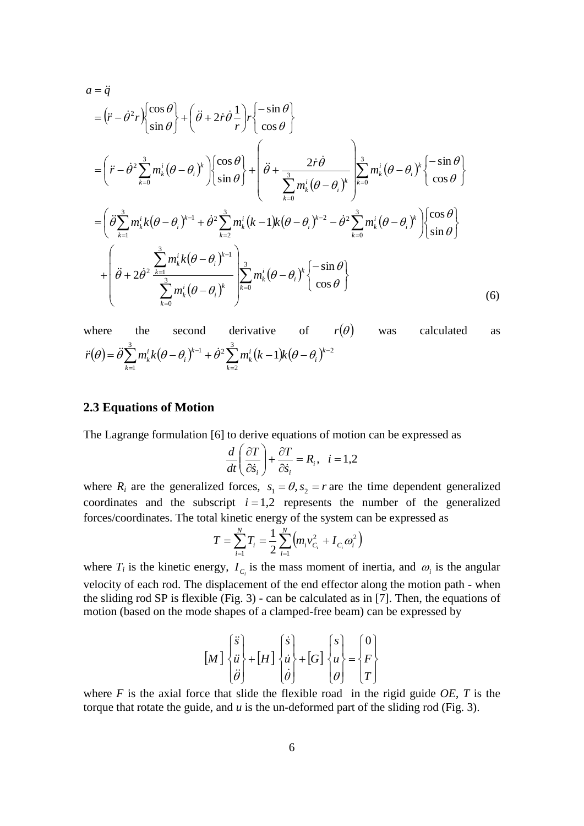$$
a = \ddot{q}
$$
\n
$$
= (\ddot{r} - \dot{\theta}^2 r) \begin{cases} \cos \theta \\ \sin \theta \end{cases} + (\ddot{\theta} + 2\dot{r}\dot{\theta} \frac{1}{r})r \begin{cases} -\sin \theta \\ \cos \theta \end{cases}
$$
\n
$$
= (\ddot{r} - \dot{\theta}^2 \sum_{k=0}^3 m_k^i (\theta - \theta_i)^k) \begin{cases} \cos \theta \\ \sin \theta \end{cases} + \begin{cases} \ddot{\theta} + \frac{2\dot{r}\dot{\theta}}{2m_k^i (\theta - \theta_i)^k} \end{cases} \sum_{k=0}^3 m_k^i (\theta - \theta_i)^k \begin{cases} -\sin \theta \\ \cos \theta \end{cases}
$$
\n
$$
= (\ddot{\theta} \sum_{k=1}^3 m_k^i k (\theta - \theta_i)^{k-1} + \dot{\theta}^2 \sum_{k=2}^3 m_k^i (k-1) k (\theta - \theta_i)^{k-2} - \dot{\theta}^2 \sum_{k=0}^3 m_k^i (\theta - \theta_i)^k) \begin{cases} \cos \theta \\ \sin \theta \end{cases}
$$
\n
$$
+ \begin{pmatrix} \ddot{\theta} + 2\dot{\theta}^2 \frac{\sum_{k=1}^3 m_k^i k (\theta - \theta_i)^{k-1}}{\sum_{k=0}^3 m_k^i (\theta - \theta_i)^k} \end{pmatrix} \sum_{k=0}^3 m_k^i (\theta - \theta_i)^k \begin{cases} -\sin \theta \\ \cos \theta \end{cases}
$$
\n
$$
(6)
$$

where the second derivative of 
$$
r(\theta)
$$
 was calculated as  
\n
$$
\ddot{r}(\theta) = \ddot{\theta} \sum_{k=1}^{3} m_k^i k (\theta - \theta_i)^{k-1} + \dot{\theta}^2 \sum_{k=2}^{3} m_k^i (k-1) k (\theta - \theta_i)^{k-2}
$$

### **2.3 Equations of Motion**

The Lagrange formulation [6] to derive equations of motion can be expressed as

$$
\frac{d}{dt}\left(\frac{\partial T}{\partial \dot{s}_i}\right) + \frac{\partial T}{\partial \dot{s}_i} = R_i, \quad i = 1, 2
$$

where  $R_i$  are the generalized forces,  $s_1 = \theta$ ,  $s_2 = r$  are the time dependent generalized coordinates and the subscript  $i = 1,2$  represents the number of the generalized forces/coordinates. The total kinetic energy of the system can be expressed as

$$
T = \sum_{i=1}^{N} T_i = \frac{1}{2} \sum_{i=1}^{N} \left( m_i v_{C_i}^2 + I_{C_i} \omega_i^2 \right)
$$

where  $T_i$  is the kinetic energy,  $I_{C_i}$  is the mass moment of inertia, and  $\omega_i$  is the angular velocity of each rod. The displacement of the end effector along the motion path - when the sliding rod SP is flexible (Fig. 3) - can be calculated as in [7]. Then, the equations of motion (based on the mode shapes of a clamped-free beam) can be expressed by

$$
\begin{bmatrix} M \end{bmatrix} \begin{bmatrix} \ddot{s} \\ \ddot{u} \\ \ddot{\theta} \end{bmatrix} + \begin{bmatrix} H \end{bmatrix} \begin{bmatrix} \dot{s} \\ \dot{u} \\ \dot{\theta} \end{bmatrix} + \begin{bmatrix} G \end{bmatrix} \begin{bmatrix} s \\ u \\ \theta \end{bmatrix} = \begin{Bmatrix} 0 \\ F \\ T \end{Bmatrix}
$$

where  $F$  is the axial force that slide the flexible road in the rigid guide  $OE$ ,  $T$  is the torque that rotate the guide, and *u* is the un-deformed part of the sliding rod (Fig. 3).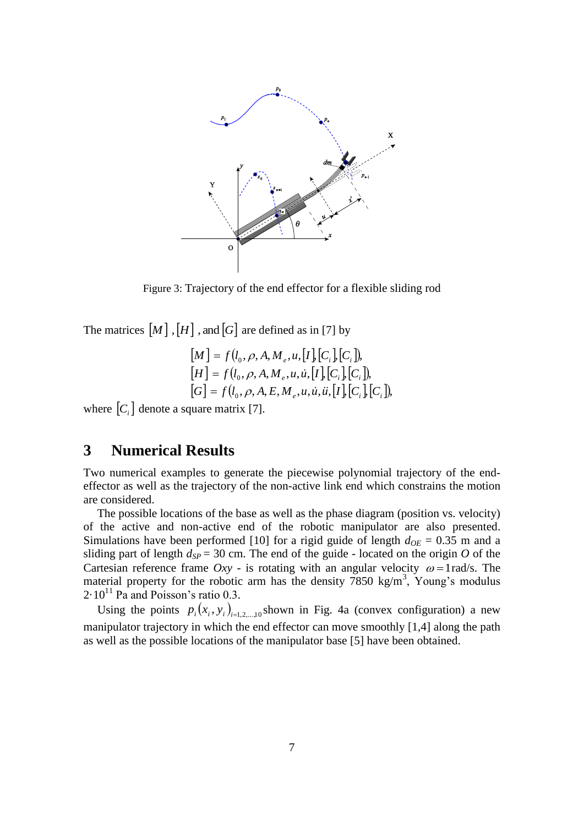

Figure 3: Trajectory of the end effector for a flexible sliding rod

The matrices  $[M]$ ,  $[H]$ , and  $[G]$  are defined as in [7] by

$$
[M] = f(l_0, \rho, A, M_e, u, [I], [C_i], [C_i]),
$$
  
\n
$$
[H] = f(l_0, \rho, A, M_e, u, \dot{u}, [I], [C_i], [C_i]),
$$
  
\n
$$
[G] = f(l_0, \rho, A, E, M_e, u, \dot{u}, \ddot{u}, [I], [C_i], [C_i]),
$$

where  $[C_i]$  denote a square matrix [7].

# **3 Numerical Results**

Two numerical examples to generate the piecewise polynomial trajectory of the endeffector as well as the trajectory of the non-active link end which constrains the motion are considered.

The possible locations of the base as well as the phase diagram (position vs. velocity) of the active and non-active end of the robotic manipulator are also presented. Simulations have been performed [10] for a rigid guide of length  $d_{OE} = 0.35$  m and a sliding part of length  $d_{SP} = 30$  cm. The end of the guide - located on the origin *O* of the Cartesian reference frame  $Oxy$  - is rotating with an angular velocity  $\omega = 1$  rad/s. The material property for the robotic arm has the density  $7850 \text{ kg/m}^3$ , Young's modulus  $2.10^{11}$  Pa and Poisson's ratio 0.3.

Using the points  $p_i(x_i, y_i)_{i=1,2,...,10}$  shown in Fig. 4a (convex configuration) a new manipulator trajectory in which the end effector can move smoothly [1,4] along the path as well as the possible locations of the manipulator base [5] have been obtained.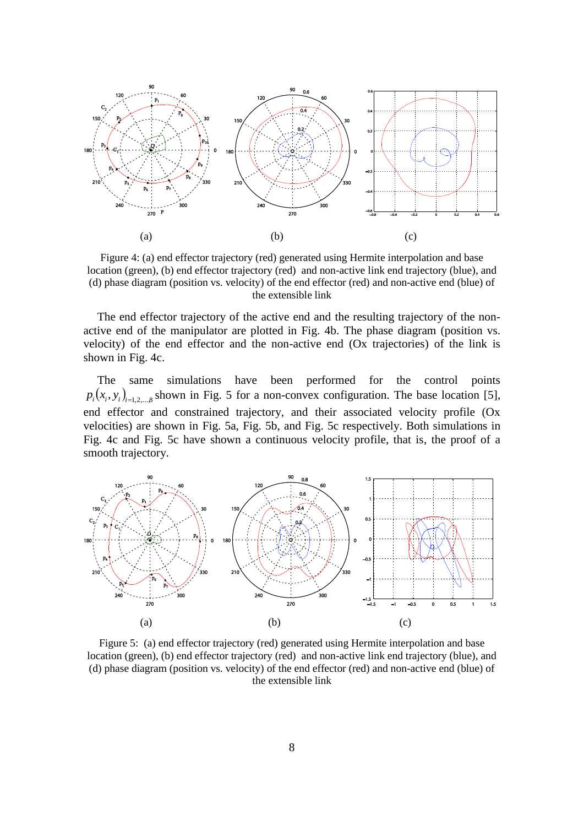

Figure 4: (a) end effector trajectory (red) generated using Hermite interpolation and base location (green), (b) end effector trajectory (red) and non-active link end trajectory (blue), and (d) phase diagram (position vs. velocity) of the end effector (red) and non-active end (blue) of the extensible link

The end effector trajectory of the active end and the resulting trajectory of the nonactive end of the manipulator are plotted in Fig. 4b. The phase diagram (position vs. velocity) of the end effector and the non-active end (Ox trajectories) of the link is shown in Fig. 4c.

The same simulations have been performed for the control points  $p_i(x_i, y_i)_{i=1,2,...,8}$  shown in Fig. 5 for a non-convex configuration. The base location [5], end effector and constrained trajectory, and their associated velocity profile (Ox velocities) are shown in Fig. 5a, Fig. 5b, and Fig. 5c respectively. Both simulations in Fig. 4c and Fig. 5c have shown a continuous velocity profile, that is, the proof of a smooth trajectory.



Figure 5: (a) end effector trajectory (red) generated using Hermite interpolation and base location (green), (b) end effector trajectory (red) and non-active link end trajectory (blue), and (d) phase diagram (position vs. velocity) of the end effector (red) and non-active end (blue) of the extensible link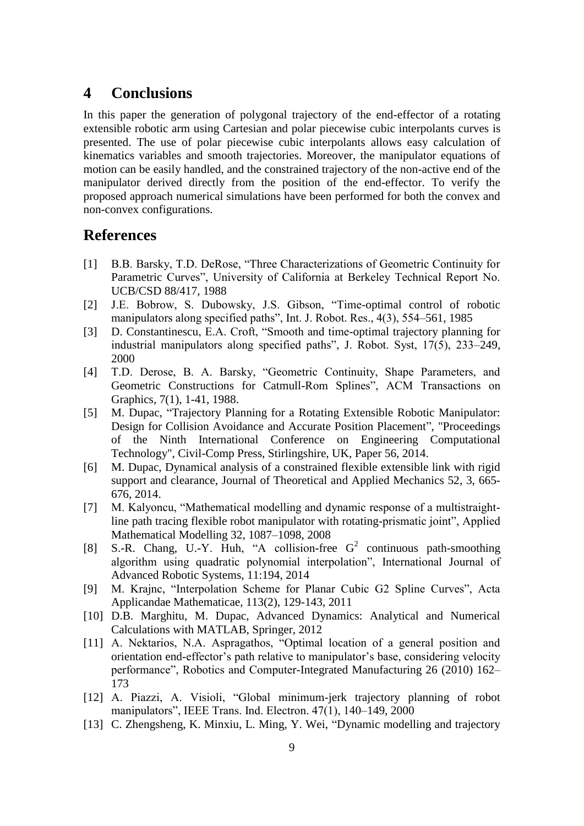## **4 Conclusions**

In this paper the generation of polygonal trajectory of the end-effector of a rotating extensible robotic arm using Cartesian and polar piecewise cubic interpolants curves is presented. The use of polar piecewise cubic interpolants allows easy calculation of kinematics variables and smooth trajectories. Moreover, the manipulator equations of motion can be easily handled, and the constrained trajectory of the non-active end of the manipulator derived directly from the position of the end-effector. To verify the proposed approach numerical simulations have been performed for both the convex and non-convex configurations.

## **References**

- [1] B.B. Barsky, T.D. DeRose, "Three Characterizations of Geometric Continuity for Parametric Curves", University of California at Berkeley Technical Report No. UCB/CSD 88/417, 1988
- [2] J.E. Bobrow, S. Dubowsky, J.S. Gibson, "Time-optimal control of robotic manipulators along specified paths", Int. J. Robot. Res., 4(3), 554–561, 1985
- [3] D. Constantinescu, E.A. Croft, "Smooth and time-optimal trajectory planning for industrial manipulators along specified paths", J. Robot. Syst, 17(5), 233–249, 2000
- [4] T.D. Derose, B. A. Barsky, "Geometric Continuity, Shape Parameters, and Geometric Constructions for Catmull-Rom Splines", ACM Transactions on Graphics, 7(1), 1-41, 1988.
- [5] M. Dupac, "Trajectory Planning for a Rotating Extensible Robotic Manipulator: Design for Collision Avoidance and Accurate Position Placement", "Proceedings of the Ninth International Conference on Engineering Computational Technology", Civil-Comp Press, Stirlingshire, UK, Paper 56, 2014.
- [6] M. Dupac, Dynamical analysis of a constrained flexible extensible link with rigid support and clearance, Journal of Theoretical and Applied Mechanics 52, 3, 665- 676, 2014.
- [7] M. Kalyoncu, "Mathematical modelling and dynamic response of a multistraightline path tracing flexible robot manipulator with rotating-prismatic joint", Applied Mathematical Modelling 32, 1087–1098, 2008
- [8] S.-R. Chang, U.-Y. Huh, "A collision-free  $G^2$  continuous path-smoothing algorithm using quadratic polynomial interpolation", International Journal of Advanced Robotic Systems, 11:194, 2014
- [9] M. Krajnc, "Interpolation Scheme for Planar Cubic G2 Spline Curves", Acta Applicandae Mathematicae, 113(2), 129-143, 2011
- [10] D.B. Marghitu, M. Dupac, Advanced Dynamics: Analytical and Numerical Calculations with MATLAB, Springer, 2012
- [11] A. Nektarios, N.A. Aspragathos, "Optimal location of a general position and orientation end-effector's path relative to manipulator's base, considering velocity performance", Robotics and Computer-Integrated Manufacturing 26 (2010) 162– 173
- [12] A. Piazzi, A. Visioli, "Global minimum-jerk trajectory planning of robot manipulators", IEEE Trans. Ind. Electron. 47(1), 140–149, 2000
- [13] C. Zhengsheng, K. Minxiu, L. Ming, Y. Wei, "Dynamic modelling and trajectory